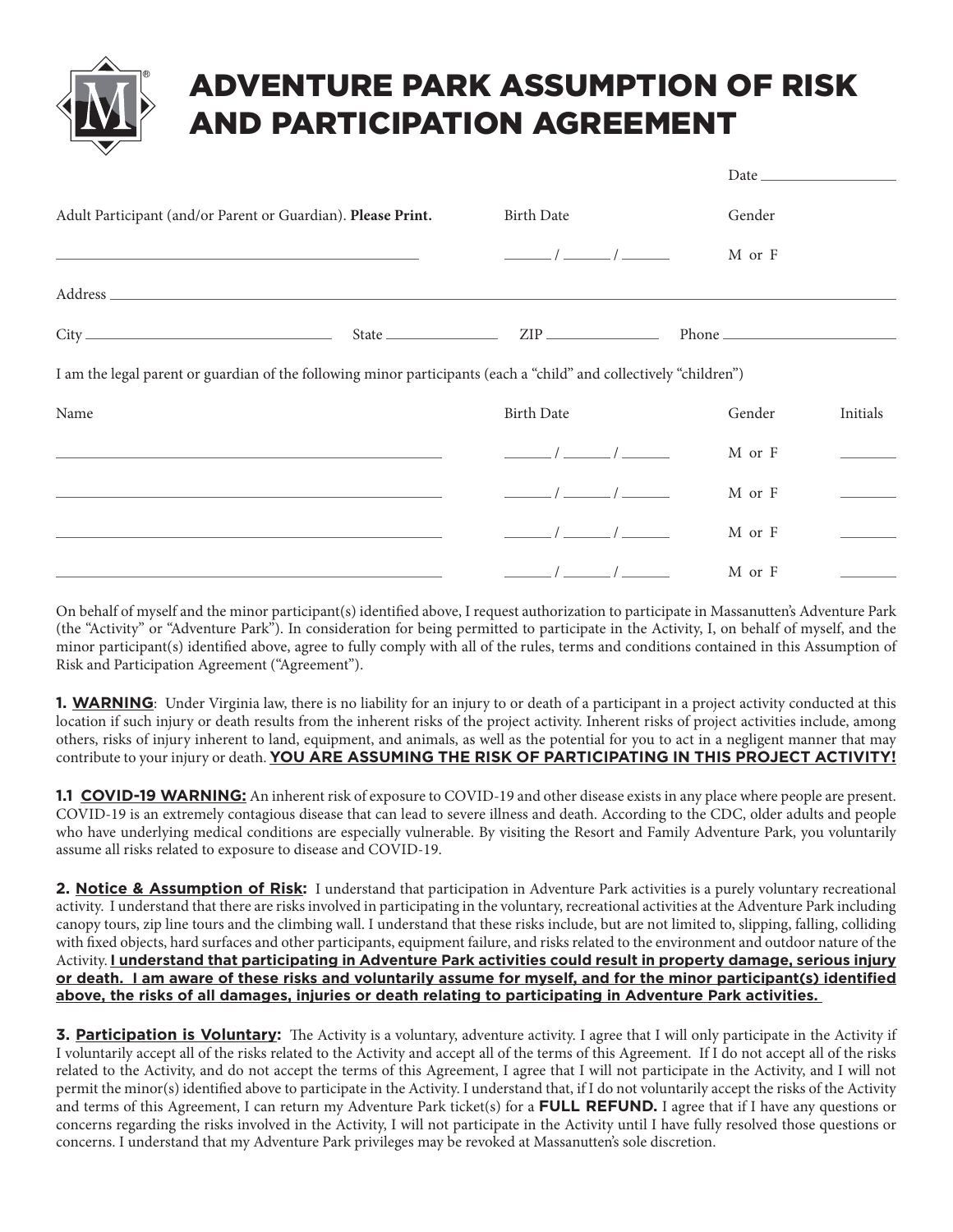## ADVENTURE PARK ASSUMPTION OF RISK AND PARTICIPATION AGREEMENT

| Adult Participant (and/or Parent or Guardian). Please Print.<br><u> Alexandro de la contrada de la contrada de la contrada de la contrada de la contrada de la contrada de la con</u>                                                                                                                                | <b>Birth Date</b>                                                                                                                                                                                                                                                                                                                                                                                                               | Gender |          |  |
|----------------------------------------------------------------------------------------------------------------------------------------------------------------------------------------------------------------------------------------------------------------------------------------------------------------------|---------------------------------------------------------------------------------------------------------------------------------------------------------------------------------------------------------------------------------------------------------------------------------------------------------------------------------------------------------------------------------------------------------------------------------|--------|----------|--|
|                                                                                                                                                                                                                                                                                                                      | $\frac{1}{\sqrt{1-\frac{1}{2}}}\int \frac{1}{\sqrt{1-\frac{1}{2}}\sqrt{1-\frac{1}{2}}\sqrt{1-\frac{1}{2}}\sqrt{1-\frac{1}{2}}\sqrt{1-\frac{1}{2}}\sqrt{1-\frac{1}{2}}\sqrt{1-\frac{1}{2}}\sqrt{1-\frac{1}{2}}\sqrt{1-\frac{1}{2}}\sqrt{1-\frac{1}{2}}\sqrt{1-\frac{1}{2}}\sqrt{1-\frac{1}{2}}\sqrt{1-\frac{1}{2}}\sqrt{1-\frac{1}{2}}\sqrt{1-\frac{1}{2}}\sqrt{1-\frac{1}{2}}\sqrt{1-\frac{1}{2}}\sqrt{1-\frac{1}{2$            | M or F |          |  |
|                                                                                                                                                                                                                                                                                                                      |                                                                                                                                                                                                                                                                                                                                                                                                                                 |        |          |  |
|                                                                                                                                                                                                                                                                                                                      |                                                                                                                                                                                                                                                                                                                                                                                                                                 |        |          |  |
| I am the legal parent or guardian of the following minor participants (each a "child" and collectively "children")                                                                                                                                                                                                   |                                                                                                                                                                                                                                                                                                                                                                                                                                 |        |          |  |
| Name<br><u> 1999 - Jan James James Barnett, fransk politik (d. 1989)</u><br><u> 1989 - Johann Stein, marwolaethau a bhann an t-Amhair ann an t-Amhair an t-Amhair an t-Amhair an t-Amhair an</u><br>and the control of the control of the control of the control of the control of the control of the control of the | <b>Birth Date</b>                                                                                                                                                                                                                                                                                                                                                                                                               | Gender | Initials |  |
|                                                                                                                                                                                                                                                                                                                      | $\sqrt{2}$                                                                                                                                                                                                                                                                                                                                                                                                                      | M or F |          |  |
|                                                                                                                                                                                                                                                                                                                      | $\frac{1}{\sqrt{1-\frac{1}{2}}}\frac{1}{\sqrt{1-\frac{1}{2}}}\frac{1}{\sqrt{1-\frac{1}{2}}}\frac{1}{\sqrt{1-\frac{1}{2}}}\frac{1}{\sqrt{1-\frac{1}{2}}}\frac{1}{\sqrt{1-\frac{1}{2}}}\frac{1}{\sqrt{1-\frac{1}{2}}}\frac{1}{\sqrt{1-\frac{1}{2}}}\frac{1}{\sqrt{1-\frac{1}{2}}}\frac{1}{\sqrt{1-\frac{1}{2}}}\frac{1}{\sqrt{1-\frac{1}{2}}}\frac{1}{\sqrt{1-\frac{1}{2}}}\frac{1}{\sqrt{1-\frac{1}{2}}}\frac{1}{\sqrt{1-\frac{$ | M or F |          |  |
|                                                                                                                                                                                                                                                                                                                      | $\frac{1}{\sqrt{1-\frac{1}{2}}}\frac{1}{\sqrt{1-\frac{1}{2}}}\frac{1}{\sqrt{1-\frac{1}{2}}}\frac{1}{\sqrt{1-\frac{1}{2}}}\frac{1}{\sqrt{1-\frac{1}{2}}}\frac{1}{\sqrt{1-\frac{1}{2}}}\frac{1}{\sqrt{1-\frac{1}{2}}}\frac{1}{\sqrt{1-\frac{1}{2}}}\frac{1}{\sqrt{1-\frac{1}{2}}}\frac{1}{\sqrt{1-\frac{1}{2}}}\frac{1}{\sqrt{1-\frac{1}{2}}}\frac{1}{\sqrt{1-\frac{1}{2}}}\frac{1}{\sqrt{1-\frac{1}{2}}}\frac{1}{\sqrt{1-\frac{$ | M or F |          |  |
|                                                                                                                                                                                                                                                                                                                      | $\frac{\frac{1}{2}}{2}$ / $\frac{\frac{1}{2}}{2}$ / $\frac{\frac{1}{2}}{2}$                                                                                                                                                                                                                                                                                                                                                     | M or F |          |  |

On behalf of myself and the minor participant(s) identified above, I request authorization to participate in Massanutten's Adventure Park (the "Activity" or "Adventure Park"). In consideration for being permitted to participate in the Activity, I, on behalf of myself, and the minor participant(s) identified above, agree to fully comply with all of the rules, terms and conditions contained in this Assumption of Risk and Participation Agreement ("Agreement").

**1. WARNING**: Under Virginia law, there is no liability for an injury to or death of a participant in a project activity conducted at this location if such injury or death results from the inherent risks of the project activity. Inherent risks of project activities include, among others, risks of injury inherent to land, equipment, and animals, as well as the potential for you to act in a negligent manner that may contribute to your injury or death. YOU ARE ASSUMING THE RISK OF PARTICIPATING IN THIS PROJECT ACTIVITY!

**1.1 COVID-19 WARNING:** An inherent risk of exposure to COVID-19 and other disease exists in any place where people are present. COVID-19 is an extremely contagious disease that can lead to severe illness and death. According to the CDC, older adults and people who have underlying medical conditions are especially vulnerable. By visiting the Resort and Family Adventure Park, you voluntarily assume all risks related to exposure to disease and COVID-19.

2. Notice & Assumption of Risk: I understand that participation in Adventure Park activities is a purely voluntary recreational activity. I understand that there are risks involved in participating in the voluntary, recreational activities at the Adventure Park including canopy tours, zip line tours and the climbing wall. I understand that these risks include, but are not limited to, slipping, falling, colliding with fixed objects, hard surfaces and other participants, equipment failure, and risks related to the environment and outdoor nature of the Activity. **I understand that participating in Adventure Park activities could result in property damage, serious injury or death. I am aware of these risks and voluntarily assume for myself, and for the minor participant(s) identified above, the risks of all damages, injuries or death relating to participating in Adventure Park activities.** 

**3. Participation is Voluntary:** The Activity is a voluntary, adventure activity. I agree that I will only participate in the Activity if I voluntarily accept all of the risks related to the Activity and accept all of the terms of this Agreement. If I do not accept all of the risks related to the Activity, and do not accept the terms of this Agreement, I agree that I will not participate in the Activity, and I will not permit the minor(s) identified above to participate in the Activity. I understand that, if I do not voluntarily accept the risks of the Activity and terms of this Agreement, I can return my Adventure Park ticket(s) for a **FULL REFUND.** I agree that if I have any questions or concerns regarding the risks involved in the Activity, I will not participate in the Activity until I have fully resolved those questions or concerns. I understand that my Adventure Park privileges may be revoked at Massanutten's sole discretion.